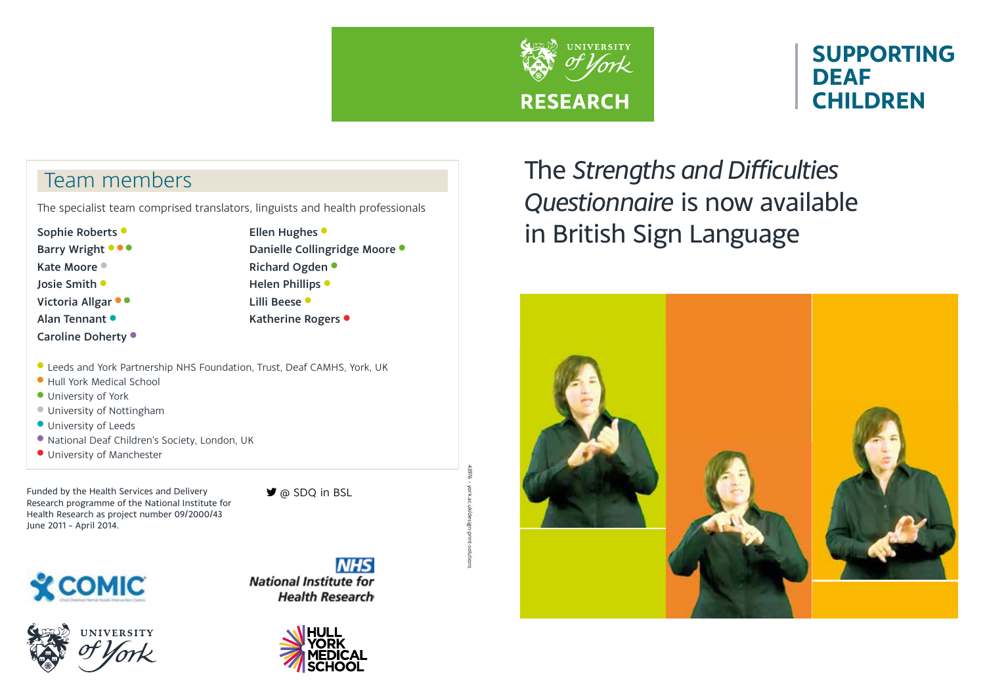

43976 – york.ac.uk/design-print-solutions

# **SUPPORTING DEAF CHILDREN**

## Team members

The specialist team comprised translators, linguists and health professionals

Sophie Roberts •

Barry Wright  $\bullet \bullet \bullet$ Kate Moore

Josie Smith <sup>l</sup>

Victoria Allgar  $\bullet \bullet$ 

Alan Tennant <sup>.</sup>

Caroline Doherty  $\bullet$ 

Ellen Hughes • Danielle Collingridge Moore · Richard Ogden • Helen Phillips • Lilli Beese · Katherine Rogers •

- l Leeds and York Partnership NHS Foundation, Trust, Deaf CAMHS, York, UK
- **Hull York Medical School**
- **University of York**
- **University of Nottingham**
- **University of Leeds**
- l National Deaf Children's Society, London, UK
- **· University of Manchester**

Funded by the Health Services and Delivery Research programme of the National Institute for Health Research as project number 09/2000/43 June 2011 – April 2014.

@ SDQ in BSL



**NIVERSITY** 





The *Strengths and Difficulties Questionnaire* is now available in British Sign Language